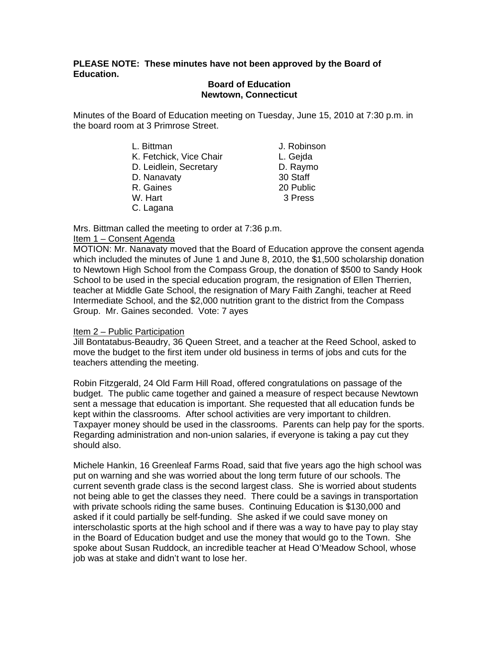# **PLEASE NOTE: These minutes have not been approved by the Board of Education.**

#### **Board of Education Newtown, Connecticut**

Minutes of the Board of Education meeting on Tuesday, June 15, 2010 at 7:30 p.m. in the board room at 3 Primrose Street.

| L. Bittman              | J. Robinson |
|-------------------------|-------------|
| K. Fetchick, Vice Chair | L. Gejda    |
| D. Leidlein, Secretary  | D. Raymo    |
| D. Nanavaty             | 30 Staff    |
| R. Gaines               | 20 Public   |
| W. Hart                 | 3 Press     |
| C. Lagana               |             |

Mrs. Bittman called the meeting to order at 7:36 p.m.

# Item 1 – Consent Agenda

MOTION: Mr. Nanavaty moved that the Board of Education approve the consent agenda which included the minutes of June 1 and June 8, 2010, the \$1,500 scholarship donation to Newtown High School from the Compass Group, the donation of \$500 to Sandy Hook School to be used in the special education program, the resignation of Ellen Therrien, teacher at Middle Gate School, the resignation of Mary Faith Zanghi, teacher at Reed Intermediate School, and the \$2,000 nutrition grant to the district from the Compass Group. Mr. Gaines seconded. Vote: 7 ayes

# Item 2 – Public Participation

Jill Bontatabus-Beaudry, 36 Queen Street, and a teacher at the Reed School, asked to move the budget to the first item under old business in terms of jobs and cuts for the teachers attending the meeting.

Robin Fitzgerald, 24 Old Farm Hill Road, offered congratulations on passage of the budget. The public came together and gained a measure of respect because Newtown sent a message that education is important. She requested that all education funds be kept within the classrooms. After school activities are very important to children. Taxpayer money should be used in the classrooms. Parents can help pay for the sports. Regarding administration and non-union salaries, if everyone is taking a pay cut they should also.

Michele Hankin, 16 Greenleaf Farms Road, said that five years ago the high school was put on warning and she was worried about the long term future of our schools. The current seventh grade class is the second largest class. She is worried about students not being able to get the classes they need. There could be a savings in transportation with private schools riding the same buses. Continuing Education is \$130,000 and asked if it could partially be self-funding. She asked if we could save money on interscholastic sports at the high school and if there was a way to have pay to play stay in the Board of Education budget and use the money that would go to the Town. She spoke about Susan Ruddock, an incredible teacher at Head O'Meadow School, whose job was at stake and didn't want to lose her.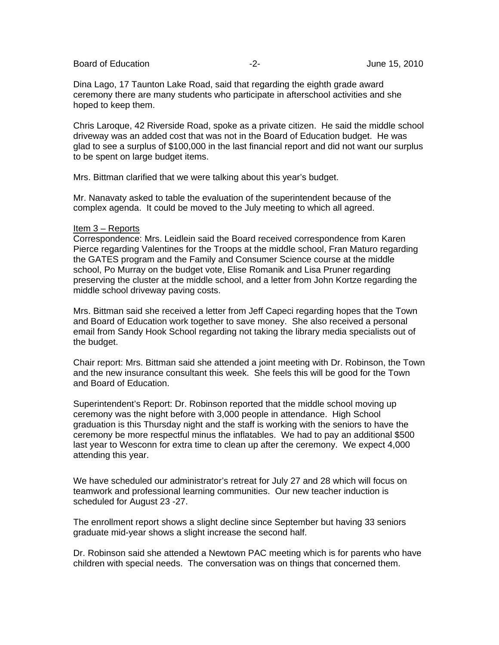Board of Education  $-2$ -<br>Board of Education  $-2$ -<br>Board of Education

Dina Lago, 17 Taunton Lake Road, said that regarding the eighth grade award ceremony there are many students who participate in afterschool activities and she hoped to keep them.

Chris Laroque, 42 Riverside Road, spoke as a private citizen. He said the middle school driveway was an added cost that was not in the Board of Education budget. He was glad to see a surplus of \$100,000 in the last financial report and did not want our surplus to be spent on large budget items.

Mrs. Bittman clarified that we were talking about this year's budget.

Mr. Nanavaty asked to table the evaluation of the superintendent because of the complex agenda. It could be moved to the July meeting to which all agreed.

#### Item 3 – Reports

Correspondence: Mrs. Leidlein said the Board received correspondence from Karen Pierce regarding Valentines for the Troops at the middle school, Fran Maturo regarding the GATES program and the Family and Consumer Science course at the middle school, Po Murray on the budget vote, Elise Romanik and Lisa Pruner regarding preserving the cluster at the middle school, and a letter from John Kortze regarding the middle school driveway paving costs.

Mrs. Bittman said she received a letter from Jeff Capeci regarding hopes that the Town and Board of Education work together to save money. She also received a personal email from Sandy Hook School regarding not taking the library media specialists out of the budget.

Chair report: Mrs. Bittman said she attended a joint meeting with Dr. Robinson, the Town and the new insurance consultant this week. She feels this will be good for the Town and Board of Education.

Superintendent's Report: Dr. Robinson reported that the middle school moving up ceremony was the night before with 3,000 people in attendance. High School graduation is this Thursday night and the staff is working with the seniors to have the ceremony be more respectful minus the inflatables. We had to pay an additional \$500 last year to Wesconn for extra time to clean up after the ceremony. We expect 4,000 attending this year.

We have scheduled our administrator's retreat for July 27 and 28 which will focus on teamwork and professional learning communities. Our new teacher induction is scheduled for August 23 -27.

The enrollment report shows a slight decline since September but having 33 seniors graduate mid-year shows a slight increase the second half.

Dr. Robinson said she attended a Newtown PAC meeting which is for parents who have children with special needs. The conversation was on things that concerned them.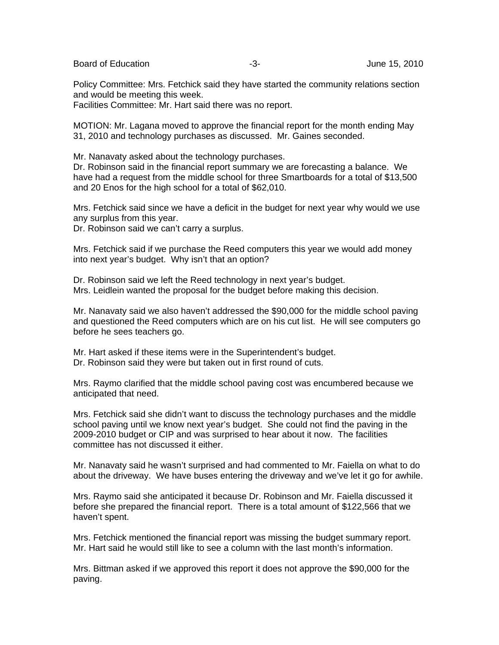Board of Education  $-3$ - 3- June 15, 2010

Policy Committee: Mrs. Fetchick said they have started the community relations section and would be meeting this week.

Facilities Committee: Mr. Hart said there was no report.

MOTION: Mr. Lagana moved to approve the financial report for the month ending May 31, 2010 and technology purchases as discussed. Mr. Gaines seconded.

Mr. Nanavaty asked about the technology purchases.

Dr. Robinson said in the financial report summary we are forecasting a balance. We have had a request from the middle school for three Smartboards for a total of \$13,500 and 20 Enos for the high school for a total of \$62,010.

Mrs. Fetchick said since we have a deficit in the budget for next year why would we use any surplus from this year.

Dr. Robinson said we can't carry a surplus.

Mrs. Fetchick said if we purchase the Reed computers this year we would add money into next year's budget. Why isn't that an option?

Dr. Robinson said we left the Reed technology in next year's budget. Mrs. Leidlein wanted the proposal for the budget before making this decision.

Mr. Nanavaty said we also haven't addressed the \$90,000 for the middle school paving and questioned the Reed computers which are on his cut list. He will see computers go before he sees teachers go.

Mr. Hart asked if these items were in the Superintendent's budget. Dr. Robinson said they were but taken out in first round of cuts.

Mrs. Raymo clarified that the middle school paving cost was encumbered because we anticipated that need.

Mrs. Fetchick said she didn't want to discuss the technology purchases and the middle school paving until we know next year's budget. She could not find the paving in the 2009-2010 budget or CIP and was surprised to hear about it now. The facilities committee has not discussed it either.

Mr. Nanavaty said he wasn't surprised and had commented to Mr. Faiella on what to do about the driveway. We have buses entering the driveway and we've let it go for awhile.

Mrs. Raymo said she anticipated it because Dr. Robinson and Mr. Faiella discussed it before she prepared the financial report. There is a total amount of \$122,566 that we haven't spent.

Mrs. Fetchick mentioned the financial report was missing the budget summary report. Mr. Hart said he would still like to see a column with the last month's information.

Mrs. Bittman asked if we approved this report it does not approve the \$90,000 for the paving.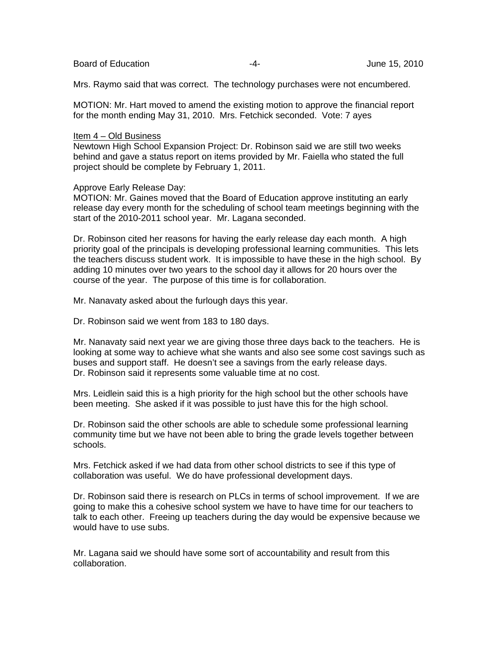Board of Education  $\overline{a}$  -4- Figure 15, 2010

Mrs. Raymo said that was correct. The technology purchases were not encumbered.

MOTION: Mr. Hart moved to amend the existing motion to approve the financial report for the month ending May 31, 2010. Mrs. Fetchick seconded. Vote: 7 ayes

#### Item 4 – Old Business

Newtown High School Expansion Project: Dr. Robinson said we are still two weeks behind and gave a status report on items provided by Mr. Faiella who stated the full project should be complete by February 1, 2011.

Approve Early Release Day:

MOTION: Mr. Gaines moved that the Board of Education approve instituting an early release day every month for the scheduling of school team meetings beginning with the start of the 2010-2011 school year. Mr. Lagana seconded.

Dr. Robinson cited her reasons for having the early release day each month. A high priority goal of the principals is developing professional learning communities. This lets the teachers discuss student work. It is impossible to have these in the high school. By adding 10 minutes over two years to the school day it allows for 20 hours over the course of the year. The purpose of this time is for collaboration.

Mr. Nanavaty asked about the furlough days this year.

Dr. Robinson said we went from 183 to 180 days.

Mr. Nanavaty said next year we are giving those three days back to the teachers. He is looking at some way to achieve what she wants and also see some cost savings such as buses and support staff. He doesn't see a savings from the early release days. Dr. Robinson said it represents some valuable time at no cost.

Mrs. Leidlein said this is a high priority for the high school but the other schools have been meeting. She asked if it was possible to just have this for the high school.

Dr. Robinson said the other schools are able to schedule some professional learning community time but we have not been able to bring the grade levels together between schools.

Mrs. Fetchick asked if we had data from other school districts to see if this type of collaboration was useful. We do have professional development days.

Dr. Robinson said there is research on PLCs in terms of school improvement. If we are going to make this a cohesive school system we have to have time for our teachers to talk to each other. Freeing up teachers during the day would be expensive because we would have to use subs.

Mr. Lagana said we should have some sort of accountability and result from this collaboration.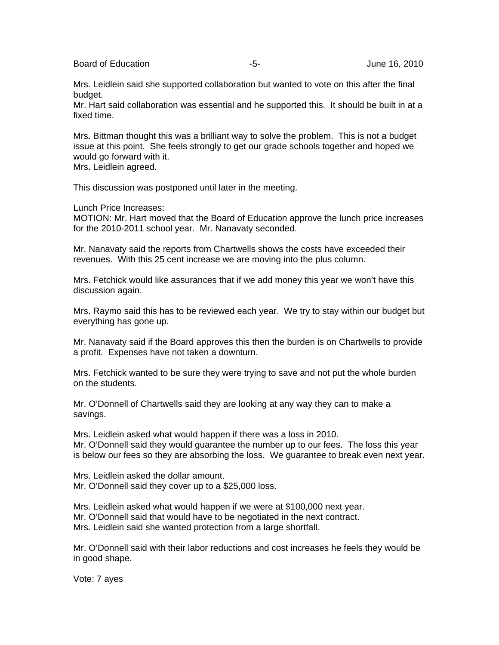Board of Education  $-5$ -  $-5$ -  $-5$ - June 16, 2010

Mrs. Leidlein said she supported collaboration but wanted to vote on this after the final budget.

Mr. Hart said collaboration was essential and he supported this. It should be built in at a fixed time.

Mrs. Bittman thought this was a brilliant way to solve the problem. This is not a budget issue at this point. She feels strongly to get our grade schools together and hoped we would go forward with it.

Mrs. Leidlein agreed.

This discussion was postponed until later in the meeting.

Lunch Price Increases:

MOTION: Mr. Hart moved that the Board of Education approve the lunch price increases for the 2010-2011 school year. Mr. Nanavaty seconded.

Mr. Nanavaty said the reports from Chartwells shows the costs have exceeded their revenues. With this 25 cent increase we are moving into the plus column.

Mrs. Fetchick would like assurances that if we add money this year we won't have this discussion again.

Mrs. Raymo said this has to be reviewed each year. We try to stay within our budget but everything has gone up.

Mr. Nanavaty said if the Board approves this then the burden is on Chartwells to provide a profit. Expenses have not taken a downturn.

Mrs. Fetchick wanted to be sure they were trying to save and not put the whole burden on the students.

Mr. O'Donnell of Chartwells said they are looking at any way they can to make a savings.

Mrs. Leidlein asked what would happen if there was a loss in 2010. Mr. O'Donnell said they would guarantee the number up to our fees. The loss this year is below our fees so they are absorbing the loss. We guarantee to break even next year.

Mrs. Leidlein asked the dollar amount. Mr. O'Donnell said they cover up to a \$25,000 loss.

Mrs. Leidlein asked what would happen if we were at \$100,000 next year. Mr. O'Donnell said that would have to be negotiated in the next contract. Mrs. Leidlein said she wanted protection from a large shortfall.

Mr. O'Donnell said with their labor reductions and cost increases he feels they would be in good shape.

Vote: 7 ayes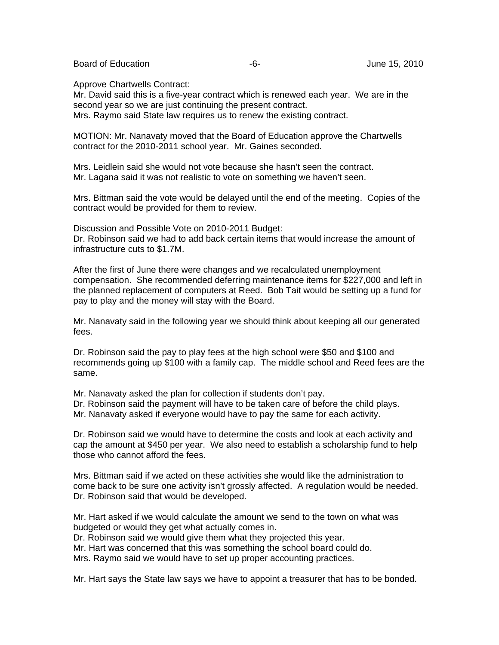Board of Education  $-6$ - Board of Education  $-6$ -

Approve Chartwells Contract:

Mr. David said this is a five-year contract which is renewed each year. We are in the second year so we are just continuing the present contract. Mrs. Raymo said State law requires us to renew the existing contract.

MOTION: Mr. Nanavaty moved that the Board of Education approve the Chartwells contract for the 2010-2011 school year. Mr. Gaines seconded.

Mrs. Leidlein said she would not vote because she hasn't seen the contract. Mr. Lagana said it was not realistic to vote on something we haven't seen.

Mrs. Bittman said the vote would be delayed until the end of the meeting. Copies of the contract would be provided for them to review.

Discussion and Possible Vote on 2010-2011 Budget: Dr. Robinson said we had to add back certain items that would increase the amount of infrastructure cuts to \$1.7M.

After the first of June there were changes and we recalculated unemployment compensation. She recommended deferring maintenance items for \$227,000 and left in the planned replacement of computers at Reed. Bob Tait would be setting up a fund for pay to play and the money will stay with the Board.

Mr. Nanavaty said in the following year we should think about keeping all our generated fees.

Dr. Robinson said the pay to play fees at the high school were \$50 and \$100 and recommends going up \$100 with a family cap. The middle school and Reed fees are the same.

Mr. Nanavaty asked the plan for collection if students don't pay.

Dr. Robinson said the payment will have to be taken care of before the child plays.

Mr. Nanavaty asked if everyone would have to pay the same for each activity.

Dr. Robinson said we would have to determine the costs and look at each activity and cap the amount at \$450 per year. We also need to establish a scholarship fund to help those who cannot afford the fees.

Mrs. Bittman said if we acted on these activities she would like the administration to come back to be sure one activity isn't grossly affected. A regulation would be needed. Dr. Robinson said that would be developed.

Mr. Hart asked if we would calculate the amount we send to the town on what was budgeted or would they get what actually comes in.

Dr. Robinson said we would give them what they projected this year.

Mr. Hart was concerned that this was something the school board could do.

Mrs. Raymo said we would have to set up proper accounting practices.

Mr. Hart says the State law says we have to appoint a treasurer that has to be bonded.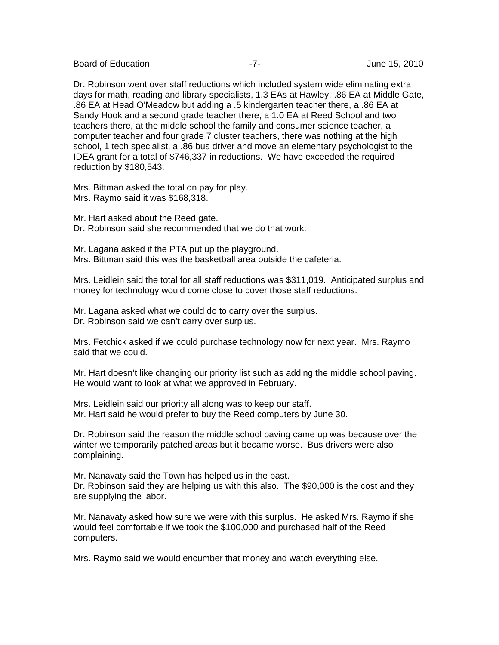Board of Education **Contract Contract Contract Contract Contract Contract Contract Contract Contract Contract Contract Contract Contract Contract Contract Contract Contract Contract Contract Contract Contract Contract Cont** 

Dr. Robinson went over staff reductions which included system wide eliminating extra days for math, reading and library specialists, 1.3 EAs at Hawley, .86 EA at Middle Gate, .86 EA at Head O'Meadow but adding a .5 kindergarten teacher there, a .86 EA at Sandy Hook and a second grade teacher there, a 1.0 EA at Reed School and two teachers there, at the middle school the family and consumer science teacher, a computer teacher and four grade 7 cluster teachers, there was nothing at the high school, 1 tech specialist, a .86 bus driver and move an elementary psychologist to the IDEA grant for a total of \$746,337 in reductions. We have exceeded the required reduction by \$180,543.

Mrs. Bittman asked the total on pay for play. Mrs. Raymo said it was \$168,318.

Mr. Hart asked about the Reed gate. Dr. Robinson said she recommended that we do that work.

Mr. Lagana asked if the PTA put up the playground. Mrs. Bittman said this was the basketball area outside the cafeteria.

Mrs. Leidlein said the total for all staff reductions was \$311,019. Anticipated surplus and money for technology would come close to cover those staff reductions.

Mr. Lagana asked what we could do to carry over the surplus. Dr. Robinson said we can't carry over surplus.

Mrs. Fetchick asked if we could purchase technology now for next year. Mrs. Raymo said that we could.

Mr. Hart doesn't like changing our priority list such as adding the middle school paving. He would want to look at what we approved in February.

Mrs. Leidlein said our priority all along was to keep our staff. Mr. Hart said he would prefer to buy the Reed computers by June 30.

Dr. Robinson said the reason the middle school paving came up was because over the winter we temporarily patched areas but it became worse. Bus drivers were also complaining.

Mr. Nanavaty said the Town has helped us in the past. Dr. Robinson said they are helping us with this also. The \$90,000 is the cost and they are supplying the labor.

Mr. Nanavaty asked how sure we were with this surplus. He asked Mrs. Raymo if she would feel comfortable if we took the \$100,000 and purchased half of the Reed computers.

Mrs. Raymo said we would encumber that money and watch everything else.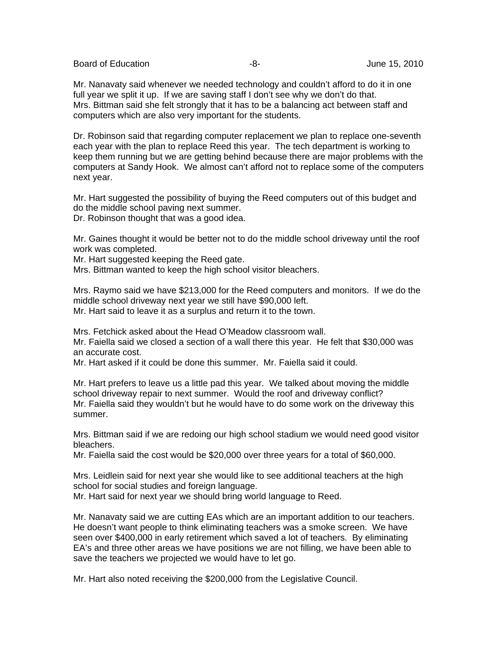Board of Education  $-8$ - Board of Education  $-8$ -

Mr. Nanavaty said whenever we needed technology and couldn't afford to do it in one full year we split it up. If we are saving staff I don't see why we don't do that. Mrs. Bittman said she felt strongly that it has to be a balancing act between staff and computers which are also very important for the students.

Dr. Robinson said that regarding computer replacement we plan to replace one-seventh each year with the plan to replace Reed this year. The tech department is working to keep them running but we are getting behind because there are major problems with the computers at Sandy Hook. We almost can't afford not to replace some of the computers next year.

Mr. Hart suggested the possibility of buying the Reed computers out of this budget and do the middle school paving next summer.

Dr. Robinson thought that was a good idea.

Mr. Gaines thought it would be better not to do the middle school driveway until the roof work was completed.

Mr. Hart suggested keeping the Reed gate.

Mrs. Bittman wanted to keep the high school visitor bleachers.

Mrs. Raymo said we have \$213,000 for the Reed computers and monitors. If we do the middle school driveway next year we still have \$90,000 left. Mr. Hart said to leave it as a surplus and return it to the town.

Mrs. Fetchick asked about the Head O'Meadow classroom wall.

Mr. Faiella said we closed a section of a wall there this year. He felt that \$30,000 was an accurate cost.

Mr. Hart asked if it could be done this summer. Mr. Faiella said it could.

Mr. Hart prefers to leave us a little pad this year. We talked about moving the middle school driveway repair to next summer. Would the roof and driveway conflict? Mr. Faiella said they wouldn't but he would have to do some work on the driveway this summer.

Mrs. Bittman said if we are redoing our high school stadium we would need good visitor bleachers.

Mr. Faiella said the cost would be \$20,000 over three years for a total of \$60,000.

Mrs. Leidlein said for next year she would like to see additional teachers at the high school for social studies and foreign language.

Mr. Hart said for next year we should bring world language to Reed.

Mr. Nanavaty said we are cutting EAs which are an important addition to our teachers. He doesn't want people to think eliminating teachers was a smoke screen. We have seen over \$400,000 in early retirement which saved a lot of teachers. By eliminating EA's and three other areas we have positions we are not filling, we have been able to save the teachers we projected we would have to let go.

Mr. Hart also noted receiving the \$200,000 from the Legislative Council.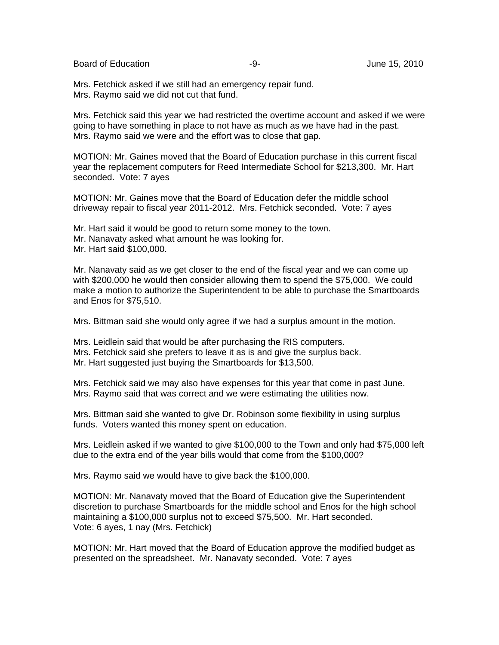Board of Education  $-9 -9-$  June 15, 2010

Mrs. Fetchick asked if we still had an emergency repair fund. Mrs. Raymo said we did not cut that fund.

Mrs. Fetchick said this year we had restricted the overtime account and asked if we were going to have something in place to not have as much as we have had in the past. Mrs. Raymo said we were and the effort was to close that gap.

MOTION: Mr. Gaines moved that the Board of Education purchase in this current fiscal year the replacement computers for Reed Intermediate School for \$213,300. Mr. Hart seconded. Vote: 7 ayes

MOTION: Mr. Gaines move that the Board of Education defer the middle school driveway repair to fiscal year 2011-2012. Mrs. Fetchick seconded. Vote: 7 ayes

Mr. Hart said it would be good to return some money to the town. Mr. Nanavaty asked what amount he was looking for. Mr. Hart said \$100,000.

Mr. Nanavaty said as we get closer to the end of the fiscal year and we can come up with \$200,000 he would then consider allowing them to spend the \$75,000. We could make a motion to authorize the Superintendent to be able to purchase the Smartboards and Enos for \$75,510.

Mrs. Bittman said she would only agree if we had a surplus amount in the motion.

Mrs. Leidlein said that would be after purchasing the RIS computers. Mrs. Fetchick said she prefers to leave it as is and give the surplus back. Mr. Hart suggested just buying the Smartboards for \$13,500.

Mrs. Fetchick said we may also have expenses for this year that come in past June. Mrs. Raymo said that was correct and we were estimating the utilities now.

Mrs. Bittman said she wanted to give Dr. Robinson some flexibility in using surplus funds. Voters wanted this money spent on education.

Mrs. Leidlein asked if we wanted to give \$100,000 to the Town and only had \$75,000 left due to the extra end of the year bills would that come from the \$100,000?

Mrs. Raymo said we would have to give back the \$100,000.

MOTION: Mr. Nanavaty moved that the Board of Education give the Superintendent discretion to purchase Smartboards for the middle school and Enos for the high school maintaining a \$100,000 surplus not to exceed \$75,500. Mr. Hart seconded. Vote: 6 ayes, 1 nay (Mrs. Fetchick)

MOTION: Mr. Hart moved that the Board of Education approve the modified budget as presented on the spreadsheet. Mr. Nanavaty seconded. Vote: 7 ayes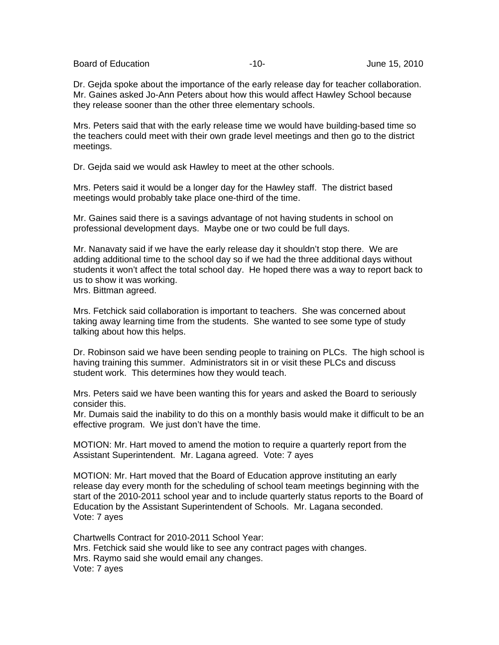Board of Education  $\overline{10}$ -10-<br>Board of Education and the state of the 15, 2010

Dr. Gejda spoke about the importance of the early release day for teacher collaboration. Mr. Gaines asked Jo-Ann Peters about how this would affect Hawley School because they release sooner than the other three elementary schools.

Mrs. Peters said that with the early release time we would have building-based time so the teachers could meet with their own grade level meetings and then go to the district meetings.

Dr. Gejda said we would ask Hawley to meet at the other schools.

Mrs. Peters said it would be a longer day for the Hawley staff. The district based meetings would probably take place one-third of the time.

Mr. Gaines said there is a savings advantage of not having students in school on professional development days. Maybe one or two could be full days.

Mr. Nanavaty said if we have the early release day it shouldn't stop there. We are adding additional time to the school day so if we had the three additional days without students it won't affect the total school day. He hoped there was a way to report back to us to show it was working.

Mrs. Bittman agreed.

Mrs. Fetchick said collaboration is important to teachers. She was concerned about taking away learning time from the students. She wanted to see some type of study talking about how this helps.

Dr. Robinson said we have been sending people to training on PLCs. The high school is having training this summer. Administrators sit in or visit these PLCs and discuss student work. This determines how they would teach.

Mrs. Peters said we have been wanting this for years and asked the Board to seriously consider this.

Mr. Dumais said the inability to do this on a monthly basis would make it difficult to be an effective program. We just don't have the time.

MOTION: Mr. Hart moved to amend the motion to require a quarterly report from the Assistant Superintendent. Mr. Lagana agreed. Vote: 7 ayes

MOTION: Mr. Hart moved that the Board of Education approve instituting an early release day every month for the scheduling of school team meetings beginning with the start of the 2010-2011 school year and to include quarterly status reports to the Board of Education by the Assistant Superintendent of Schools. Mr. Lagana seconded. Vote: 7 ayes

Chartwells Contract for 2010-2011 School Year: Mrs. Fetchick said she would like to see any contract pages with changes. Mrs. Raymo said she would email any changes. Vote: 7 ayes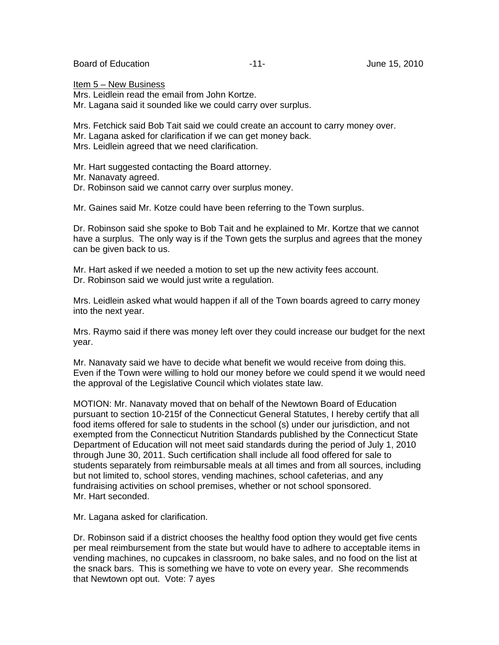Board of Education  $\overline{11}$ -<br>  $\overline{11}$ -<br>  $\overline{11}$ -<br>
June 15, 2010

Item 5 – New Business Mrs. Leidlein read the email from John Kortze. Mr. Lagana said it sounded like we could carry over surplus.

Mrs. Fetchick said Bob Tait said we could create an account to carry money over. Mr. Lagana asked for clarification if we can get money back. Mrs. Leidlein agreed that we need clarification.

Mr. Hart suggested contacting the Board attorney.

Mr. Nanavaty agreed.

Dr. Robinson said we cannot carry over surplus money.

Mr. Gaines said Mr. Kotze could have been referring to the Town surplus.

Dr. Robinson said she spoke to Bob Tait and he explained to Mr. Kortze that we cannot have a surplus. The only way is if the Town gets the surplus and agrees that the money can be given back to us.

Mr. Hart asked if we needed a motion to set up the new activity fees account. Dr. Robinson said we would just write a regulation.

Mrs. Leidlein asked what would happen if all of the Town boards agreed to carry money into the next year.

Mrs. Raymo said if there was money left over they could increase our budget for the next year.

Mr. Nanavaty said we have to decide what benefit we would receive from doing this. Even if the Town were willing to hold our money before we could spend it we would need the approval of the Legislative Council which violates state law.

MOTION: Mr. Nanavaty moved that on behalf of the Newtown Board of Education pursuant to section 10-215f of the Connecticut General Statutes, I hereby certify that all food items offered for sale to students in the school (s) under our jurisdiction, and not exempted from the Connecticut Nutrition Standards published by the Connecticut State Department of Education will not meet said standards during the period of July 1, 2010 through June 30, 2011. Such certification shall include all food offered for sale to students separately from reimbursable meals at all times and from all sources, including but not limited to, school stores, vending machines, school cafeterias, and any fundraising activities on school premises, whether or not school sponsored. Mr. Hart seconded.

Mr. Lagana asked for clarification.

Dr. Robinson said if a district chooses the healthy food option they would get five cents per meal reimbursement from the state but would have to adhere to acceptable items in vending machines, no cupcakes in classroom, no bake sales, and no food on the list at the snack bars. This is something we have to vote on every year. She recommends that Newtown opt out. Vote: 7 ayes